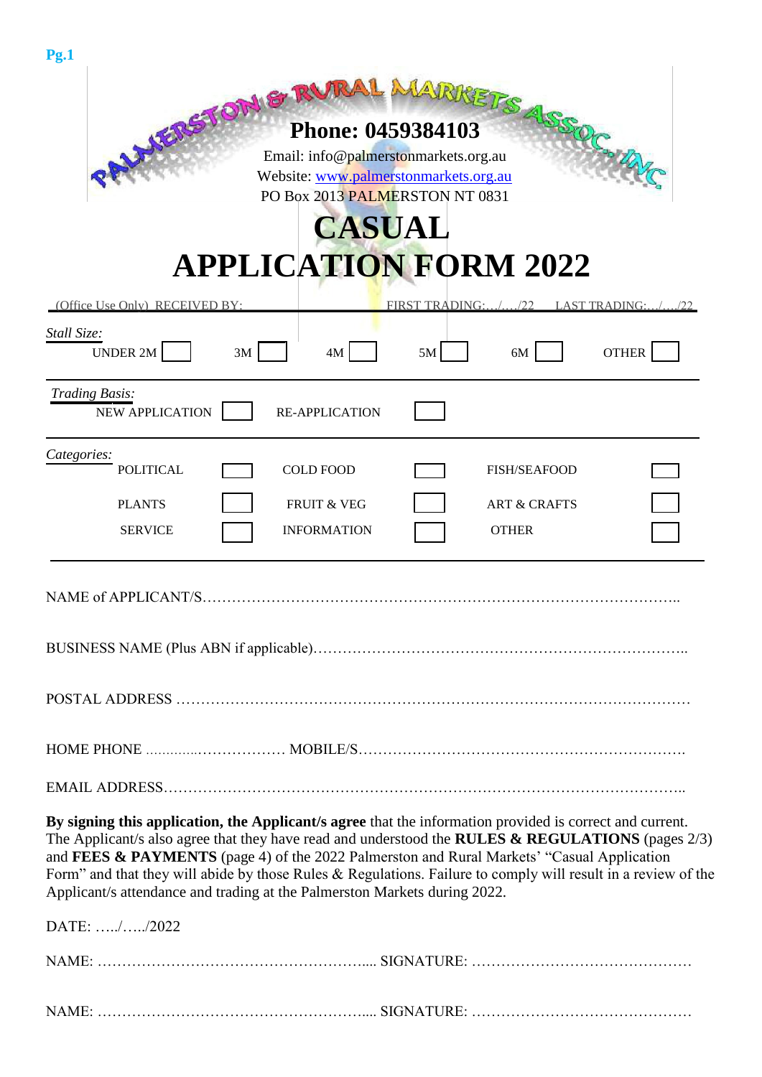| Pg.1                                                                                                                                                                                                                                                                                                                                                                                                                                                                                                        |                 |                                                                |                      |  |  |  |  |  |
|-------------------------------------------------------------------------------------------------------------------------------------------------------------------------------------------------------------------------------------------------------------------------------------------------------------------------------------------------------------------------------------------------------------------------------------------------------------------------------------------------------------|-----------------|----------------------------------------------------------------|----------------------|--|--|--|--|--|
| ENGINEER MARRIETS<br>Website: www.palmerstonmarkets.org.au<br>PO Box 2013 PALMERSTON NT 0831<br><b>CASUAL</b><br><b>APPLICATION FORM 2022</b>                                                                                                                                                                                                                                                                                                                                                               |                 |                                                                |                      |  |  |  |  |  |
| (Office Use Only) RECEIVED BY:                                                                                                                                                                                                                                                                                                                                                                                                                                                                              | FIRST TRADING:/ | 1/22                                                           | <b>LAST TRADING:</b> |  |  |  |  |  |
| Stall Size:<br><b>UNDER 2M</b><br>4M<br>3M                                                                                                                                                                                                                                                                                                                                                                                                                                                                  | 5M              | 6M                                                             | <b>OTHER</b>         |  |  |  |  |  |
| Trading Basis:<br><b>NEW APPLICATION</b><br><b>RE-APPLICATION</b>                                                                                                                                                                                                                                                                                                                                                                                                                                           |                 |                                                                |                      |  |  |  |  |  |
| Categories:<br><b>POLITICAL</b><br><b>COLD FOOD</b><br><b>PLANTS</b><br><b>FRUIT &amp; VEG</b><br><b>SERVICE</b><br><b>INFORMATION</b>                                                                                                                                                                                                                                                                                                                                                                      |                 | <b>FISH/SEAFOOD</b><br><b>ART &amp; CRAFTS</b><br><b>OTHER</b> |                      |  |  |  |  |  |
| <b>NAME of APPLICANT/S</b>                                                                                                                                                                                                                                                                                                                                                                                                                                                                                  |                 |                                                                |                      |  |  |  |  |  |
|                                                                                                                                                                                                                                                                                                                                                                                                                                                                                                             |                 |                                                                |                      |  |  |  |  |  |
|                                                                                                                                                                                                                                                                                                                                                                                                                                                                                                             |                 |                                                                |                      |  |  |  |  |  |
|                                                                                                                                                                                                                                                                                                                                                                                                                                                                                                             |                 |                                                                |                      |  |  |  |  |  |
| By signing this application, the Applicant/s agree that the information provided is correct and current.<br>The Applicant/s also agree that they have read and understood the RULES & REGULATIONS (pages 2/3)<br>and FEES & PAYMENTS (page 4) of the 2022 Palmerston and Rural Markets' "Casual Application<br>Form" and that they will abide by those Rules $&$ Regulations. Failure to comply will result in a review of the<br>Applicant/s attendance and trading at the Palmerston Markets during 2022. |                 |                                                                |                      |  |  |  |  |  |
| DATE: //2022                                                                                                                                                                                                                                                                                                                                                                                                                                                                                                |                 |                                                                |                      |  |  |  |  |  |
|                                                                                                                                                                                                                                                                                                                                                                                                                                                                                                             |                 |                                                                |                      |  |  |  |  |  |
|                                                                                                                                                                                                                                                                                                                                                                                                                                                                                                             |                 |                                                                |                      |  |  |  |  |  |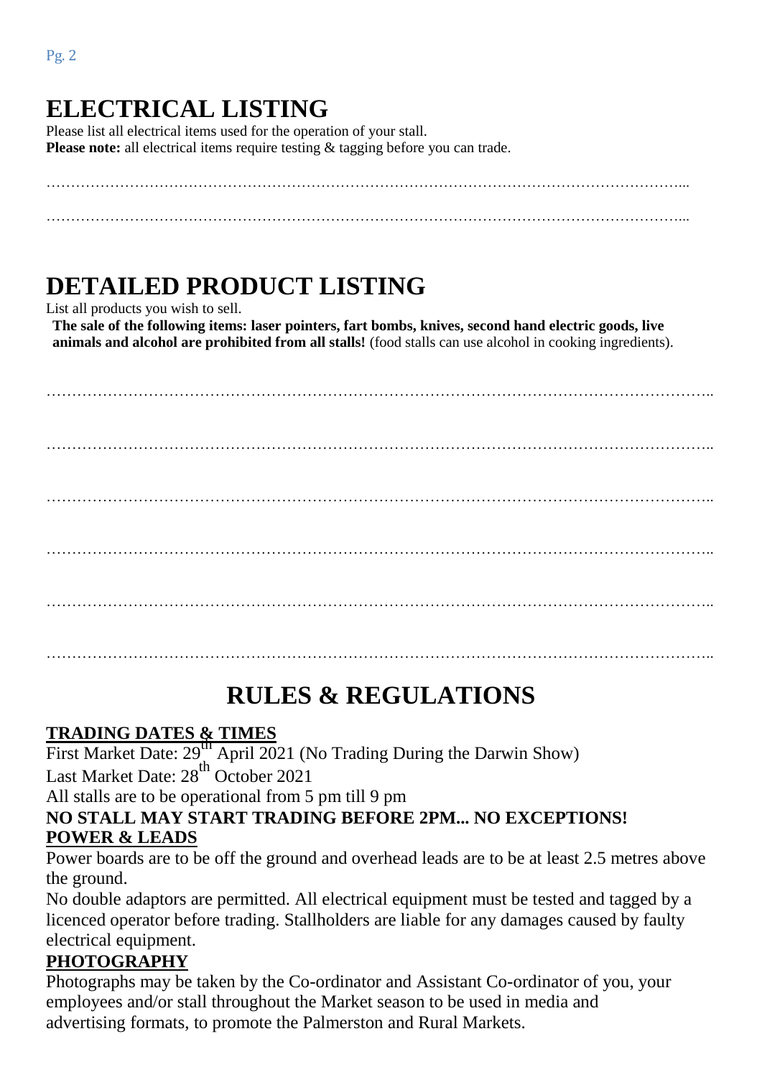Pg. 2

#### **ELECTRICAL LISTING** Please list all electrical items used for the operation of your stall. **Please note:** all electrical items require testing & tagging before you can trade.

…………………………………………………………………………………………………………………...

…………………………………………………………………………………………………………………...

# **DETAILED PRODUCT LISTING**

List all products you wish to sell.

**The sale of the following items: laser pointers, fart bombs, knives, second hand electric goods, live animals and alcohol are prohibited from all stalls!** (food stalls can use alcohol in cooking ingredients).

………………………………………………………………………………………………………………….. ………………………………………………………………………………………………………………….. ………………………………………………………………………………………………………………….. ………………………………………………………………………………………………………………….. ………………………………………………………………………………………………………………….. …………………………………………………………………………………………………………………..

# **RULES & REGULATIONS**

# **TRADING DATES & TIMES**

First Market Date: 29<sup>th</sup> April 2021 (No Trading During the Darwin Show) Last Market Date: 28<sup>th</sup> October 2021

All stalls are to be operational from 5 pm till 9 pm

#### **NO STALL MAY START TRADING BEFORE 2PM... NO EXCEPTIONS! POWER & LEADS**

Power boards are to be off the ground and overhead leads are to be at least 2.5 metres above the ground.

No double adaptors are permitted. All electrical equipment must be tested and tagged by a licenced operator before trading. Stallholders are liable for any damages caused by faulty electrical equipment.

## **PHOTOGRAPHY**

Photographs may be taken by the Co-ordinator and Assistant Co-ordinator of you, your employees and/or stall throughout the Market season to be used in media and advertising formats, to promote the Palmerston and Rural Markets.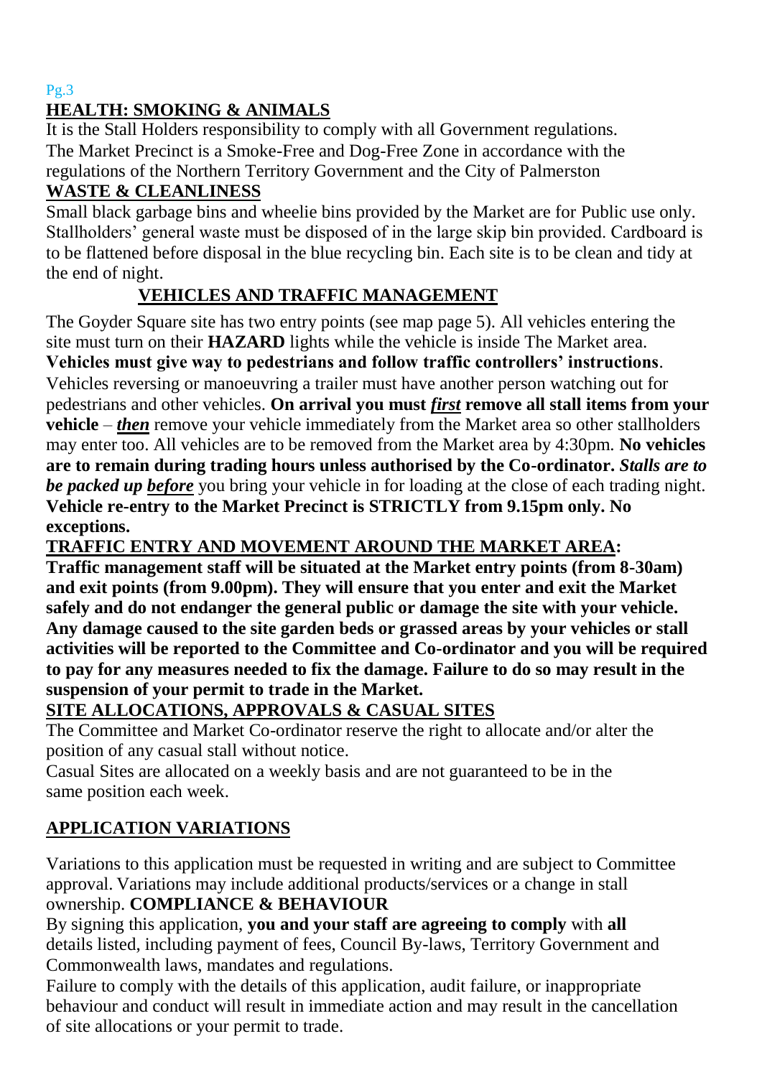#### Pg.3

#### **HEALTH: SMOKING & ANIMALS**

It is the Stall Holders responsibility to comply with all Government regulations. The Market Precinct is a Smoke-Free and Dog-Free Zone in accordance with the regulations of the Northern Territory Government and the City of Palmerston

#### **WASTE & CLEANLINESS**

Small black garbage bins and wheelie bins provided by the Market are for Public use only. Stallholders' general waste must be disposed of in the large skip bin provided. Cardboard is to be flattened before disposal in the blue recycling bin. Each site is to be clean and tidy at the end of night.

### **VEHICLES AND TRAFFIC MANAGEMENT**

The Goyder Square site has two entry points (see map page 5). All vehicles entering the site must turn on their **HAZARD** lights while the vehicle is inside The Market area. **Vehicles must give way to pedestrians and follow traffic controllers' instructions**. Vehicles reversing or manoeuvring a trailer must have another person watching out for pedestrians and other vehicles. **On arrival you must** *first* **remove all stall items from your vehicle** – *then* remove your vehicle immediately from the Market area so other stallholders may enter too. All vehicles are to be removed from the Market area by 4:30pm. **No vehicles are to remain during trading hours unless authorised by the Co-ordinator.** *Stalls are to be packed up before* you bring your vehicle in for loading at the close of each trading night. **Vehicle re-entry to the Market Precinct is STRICTLY from 9.15pm only. No exceptions.**

#### **TRAFFIC ENTRY AND MOVEMENT AROUND THE MARKET AREA:**

**Traffic management staff will be situated at the Market entry points (from 8-30am) and exit points (from 9.00pm). They will ensure that you enter and exit the Market safely and do not endanger the general public or damage the site with your vehicle. Any damage caused to the site garden beds or grassed areas by your vehicles or stall activities will be reported to the Committee and Co-ordinator and you will be required to pay for any measures needed to fix the damage. Failure to do so may result in the suspension of your permit to trade in the Market.**

#### **SITE ALLOCATIONS, APPROVALS & CASUAL SITES**

The Committee and Market Co-ordinator reserve the right to allocate and/or alter the position of any casual stall without notice.

Casual Sites are allocated on a weekly basis and are not guaranteed to be in the same position each week.

## **APPLICATION VARIATIONS**

Variations to this application must be requested in writing and are subject to Committee approval. Variations may include additional products/services or a change in stall ownership. **COMPLIANCE & BEHAVIOUR**

By signing this application, **you and your staff are agreeing to comply** with **all** details listed, including payment of fees, Council By-laws, Territory Government and Commonwealth laws, mandates and regulations.

Failure to comply with the details of this application, audit failure, or inappropriate behaviour and conduct will result in immediate action and may result in the cancellation of site allocations or your permit to trade.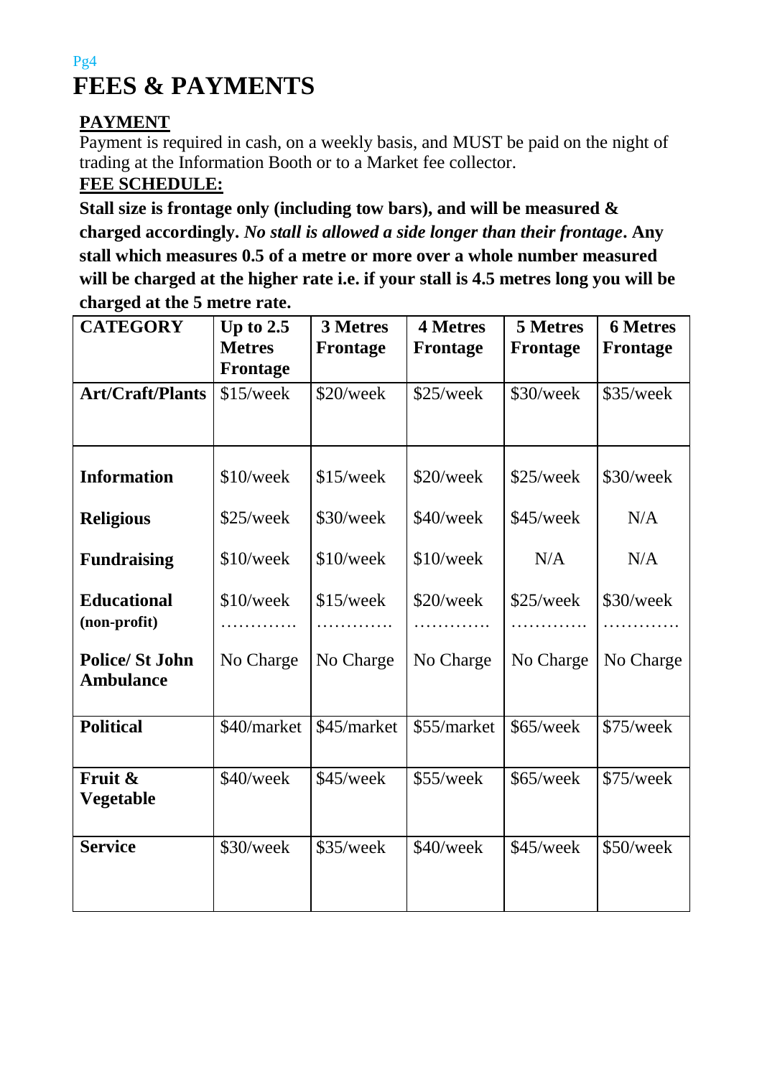## Pg4 **FEES & PAYMENTS**

### **PAYMENT**

Payment is required in cash, on a weekly basis, and MUST be paid on the night of trading at the Information Booth or to a Market fee collector. **FEE SCHEDULE:**

**Stall size is frontage only (including tow bars), and will be measured & charged accordingly.** *No stall is allowed a side longer than their frontage***. Any stall which measures 0.5 of a metre or more over a whole number measured will be charged at the higher rate i.e. if your stall is 4.5 metres long you will be charged at the 5 metre rate.**

| <b>CATEGORY</b>                           | Up to $2.5$<br><b>Metres</b><br>Frontage | <b>3 Metres</b><br><b>Frontage</b> | <b>4 Metres</b><br><b>Frontage</b> | <b>5 Metres</b><br><b>Frontage</b> | <b>6 Metres</b><br>Frontage |
|-------------------------------------------|------------------------------------------|------------------------------------|------------------------------------|------------------------------------|-----------------------------|
| <b>Art/Craft/Plants</b>                   | \$15/week                                | \$20/week                          | \$25/week                          | \$30/week                          | \$35/week                   |
| <b>Information</b>                        | \$10/week                                | \$15/week                          | \$20/week                          | \$25/week                          | \$30/week                   |
| <b>Religious</b>                          | \$25/week                                | \$30/week                          | \$40/week                          | \$45/week                          | N/A                         |
| <b>Fundraising</b>                        | \$10/week                                | \$10/week                          | \$10/week                          | N/A                                | N/A                         |
| <b>Educational</b><br>(non-profit)        | \$10/week                                | $$15$ /week                        | \$20/week                          | \$25/week                          | \$30/week                   |
| <b>Police/St John</b><br><b>Ambulance</b> | No Charge                                | No Charge                          | No Charge                          | No Charge                          | No Charge                   |
| <b>Political</b>                          | \$40/market                              | \$45/market                        | \$55/market                        | \$65/week                          | \$75/week                   |
| Fruit &<br>Vegetable                      | \$40/week                                | \$45/week                          | \$55/week                          | \$65/week                          | \$75/week                   |
| <b>Service</b>                            | \$30/week                                | \$35/week                          | \$40/week                          | \$45/week                          | \$50/week                   |